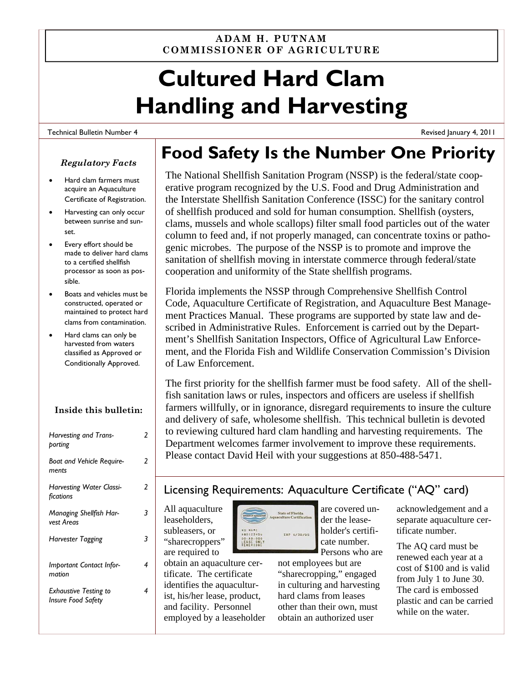#### **ADAM H. PUTNAM COMMISSIONER OF AGRICULTURE**

# **Cultured Hard Clam Handling and Harvesting**

#### Technical Bulletin Number 4

#### *Regulatory Facts*

- Hard clam farmers must acquire an Aquaculture Certificate of Registration.
- Harvesting can only occur between sunrise and sunset.
- Every effort should be made to deliver hard clams to a certified shellfish processor as soon as possible.
- Boats and vehicles must be constructed, operated or maintained to protect hard clams from contamination.
- Hard clams can only be harvested from waters classified as Approved or Conditionally Approved.

#### **Inside this bulletin:**

| Harvesting and Trans-<br>porting                          | 2 |
|-----------------------------------------------------------|---|
| <b>Boat and Vehicle Require-</b><br>ments                 | 2 |
| <b>Harvesting Water Classi-</b><br>fications              | 2 |
| <b>Managing Shellfish Har-</b><br>vest Areas              | 3 |
| Harvester Tagging                                         | 3 |
| Important Contact Infor-<br>mation                        | 4 |
| <b>Exhaustive Testing to</b><br><b>Insure Food Safety</b> | 4 |
|                                                           |   |

# **Food Safety Is the Number One Priority**

The National Shellfish Sanitation Program (NSSP) is the federal/state cooperative program recognized by the U.S. Food and Drug Administration and the Interstate Shellfish Sanitation Conference (ISSC) for the sanitary control of shellfish produced and sold for human consumption. Shellfish (oysters, clams, mussels and whole scallops) filter small food particles out of the water column to feed and, if not properly managed, can concentrate toxins or pathogenic microbes. The purpose of the NSSP is to promote and improve the sanitation of shellfish moving in interstate commerce through federal/state cooperation and uniformity of the State shellfish programs.

Florida implements the NSSP through Comprehensive Shellfish Control Code, Aquaculture Certificate of Registration, and Aquaculture Best Management Practices Manual. These programs are supported by state law and described in Administrative Rules. Enforcement is carried out by the Department's Shellfish Sanitation Inspectors, Office of Agricultural Law Enforcement, and the Florida Fish and Wildlife Conservation Commission's Division of Law Enforcement.

The first priority for the shellfish farmer must be food safety. All of the shellfish sanitation laws or rules, inspectors and officers are useless if shellfish farmers willfully, or in ignorance, disregard requirements to insure the culture and delivery of safe, wholesome shellfish. This technical bulletin is devoted to reviewing cultured hard clam handling and harvesting requirements. The Department welcomes farmer involvement to improve these requirements. Please contact David Heil with your suggestions at 850-488-5471.

### Licensing Requirements: Aquaculture Certificate ("AQ" card)

te of Florida

EXP 6/30/05

**NO NAME**<br>190123456

LEASE ONLY

All aquaculture leaseholders, subleasers, or "sharecroppers" are required to

obtain an aquaculture certificate. The certificate identifies the aquaculturist, his/her lease, product, and facility. Personnel employed by a leaseholder are covered under the leaseholder's certificate number. Persons who are

not employees but are "sharecropping," engaged in culturing and harvesting hard clams from leases other than their own, must obtain an authorized user

acknowledgement and a separate aquaculture certificate number.

Revised January 4, 2011

The AQ card must be renewed each year at a cost of \$100 and is valid from July 1 to June 30. The card is embossed plastic and can be carried while on the water.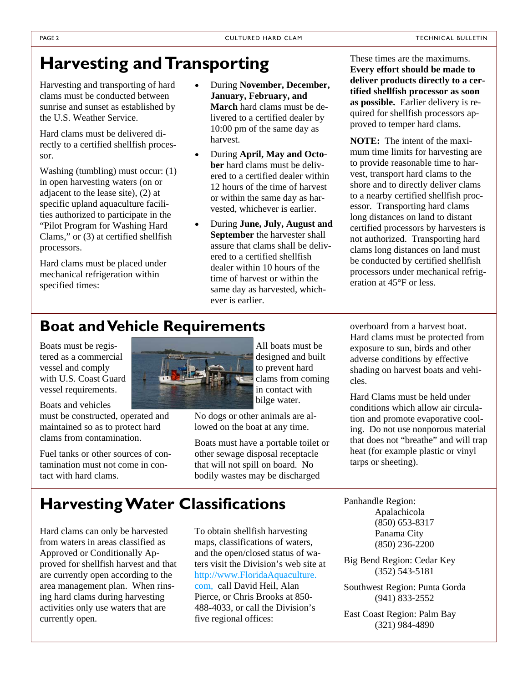# **Harvesting and Transporting**

Harvesting and transporting of hard clams must be conducted between sunrise and sunset as established by the U.S. Weather Service.

Hard clams must be delivered directly to a certified shellfish processor.

Washing (tumbling) must occur: (1) in open harvesting waters (on or adjacent to the lease site), (2) at specific upland aquaculture facilities authorized to participate in the "Pilot Program for Washing Hard Clams," or (3) at certified shellfish processors.

Hard clams must be placed under mechanical refrigeration within specified times:

- During **November, December, January, February, and March** hard clams must be delivered to a certified dealer by 10:00 pm of the same day as harvest.
- During **April, May and October** hard clams must be delivered to a certified dealer within 12 hours of the time of harvest or within the same day as harvested, whichever is earlier.
- During **June, July, August and September** the harvester shall assure that clams shall be delivered to a certified shellfish dealer within 10 hours of the time of harvest or within the same day as harvested, whichever is earlier.

These times are the maximums. **Every effort should be made to deliver products directly to a certified shellfish processor as soon as possible.** Earlier delivery is required for shellfish processors approved to temper hard clams.

**NOTE:** The intent of the maximum time limits for harvesting are to provide reasonable time to harvest, transport hard clams to the shore and to directly deliver clams to a nearby certified shellfish processor. Transporting hard clams long distances on land to distant certified processors by harvesters is not authorized. Transporting hard clams long distances on land must be conducted by certified shellfish processors under mechanical refrigeration at 45°F or less.

## **Boat and Vehicle Requirements**

Boats must be registered as a commercial vessel and comply with U.S. Coast Guard vessel requirements.

Boats and vehicles

must be constructed, operated and maintained so as to protect hard clams from contamination.

Fuel tanks or other sources of contamination must not come in contact with hard clams.



All boats must be designed and built to prevent hard clams from coming in contact with bilge water.

No dogs or other animals are allowed on the boat at any time.

Boats must have a portable toilet or other sewage disposal receptacle that will not spill on board. No bodily wastes may be discharged

overboard from a harvest boat. Hard clams must be protected from exposure to sun, birds and other adverse conditions by effective shading on harvest boats and vehicles.

Hard Clams must be held under conditions which allow air circulation and promote evaporative cooling. Do not use nonporous material that does not "breathe" and will trap heat (for example plastic or vinyl tarps or sheeting).

**Harvesting Water Classifications** 

Hard clams can only be harvested from waters in areas classified as Approved or Conditionally Approved for shellfish harvest and that are currently open according to the area management plan. When rinsing hard clams during harvesting activities only use waters that are currently open.

To obtain shellfish harvesting maps, classifications of waters, and the open/closed status of waters visit the Division's web site at http://www.FloridaAquaculture. com, call David Heil, Alan Pierce, or Chris Brooks at 850- 488-4033, or call the Division's five regional offices:

Panhandle Region: Apalachicola (850) 653-8317 Panama City (850) 236-2200

Big Bend Region: Cedar Key (352) 543-5181

Southwest Region: Punta Gorda (941) 833-2552

East Coast Region: Palm Bay (321) 984-4890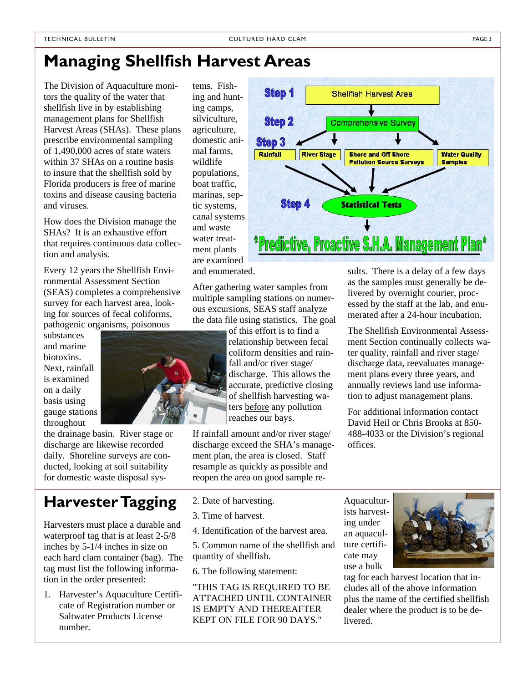# **Managing Shellfish Harvest Areas**

The Division of Aquaculture monitors the quality of the water that shellfish live in by establishing management plans for Shellfish Harvest Areas (SHAs). These plans prescribe environmental sampling of 1,490,000 acres of state waters within 37 SHAs on a routine basis to insure that the shellfish sold by Florida producers is free of marine toxins and disease causing bacteria and viruses.

How does the Division manage the SHAs? It is an exhaustive effort that requires continuous data collection and analysis.

Every 12 years the Shellfish Environmental Assessment Section (SEAS) completes a comprehensive survey for each harvest area, looking for sources of fecal coliforms, pathogenic organisms, poisonous

substances and marine biotoxins. Next, rainfall is examined on a daily basis using gauge stations throughout

the drainage basin. River stage or discharge are likewise recorded daily. Shoreline surveys are conducted, looking at soil suitability for domestic waste disposal sys-

# **Harvester Tagging**

Harvesters must place a durable and waterproof tag that is at least 2-5/8 inches by 5-1/4 inches in size on each hard clam container (bag). The tag must list the following information in the order presented:

1. Harvester's Aquaculture Certificate of Registration number or Saltwater Products License number.

tems. Fishing and hunting camps, silviculture, agriculture, domestic animal farms, wildlife populations, boat traffic, marinas, septic systems, canal systems and waste water treatment plants are examined and enumerated.

After gathering water samples from multiple sampling stations on numerous excursions, SEAS staff analyze the data file using statistics. The goal

> of this effort is to find a relationship between fecal coliform densities and rainfall and/or river stage/ discharge. This allows the accurate, predictive closing of shellfish harvesting waters before any pollution reaches our bays.

If rainfall amount and/or river stage/ discharge exceed the SHA's management plan, the area is closed. Staff resample as quickly as possible and reopen the area on good sample re-

- 2. Date of harvesting.
- 3. Time of harvest.
- 4. Identification of the harvest area.

5. Common name of the shellfish and quantity of shellfish.

6. The following statement:

"THIS TAG IS REQUIRED TO BE ATTACHED UNTIL CONTAINER IS EMPTY AND THEREAFTER KEPT ON FILE FOR 90 DAYS."

sults. There is a delay of a few days as the samples must generally be delivered by overnight courier, processed by the staff at the lab, and enumerated after a 24-hour incubation.

The Shellfish Environmental Assessment Section continually collects water quality, rainfall and river stage/ discharge data, reevaluates management plans every three years, and annually reviews land use information to adjust management plans.

For additional information contact David Heil or Chris Brooks at 850- 488-4033 or the Division's regional offices.

Aquaculturists harvesting under an aquaculture certificate may use a bulk

tag for each harvest location that includes all of the above information plus the name of the certified shellfish dealer where the product is to be delivered.